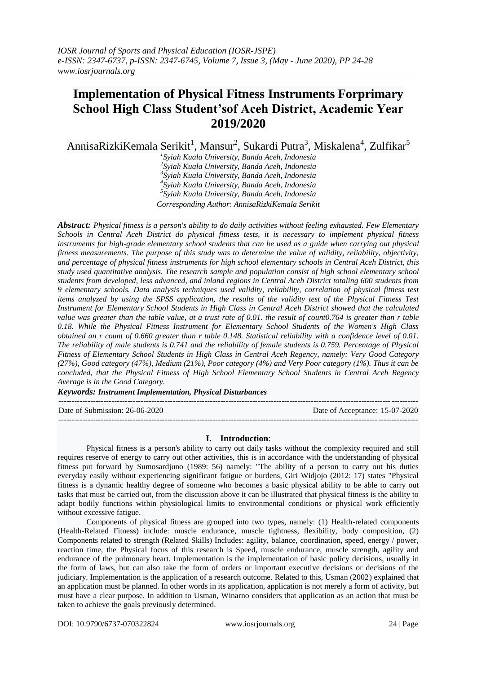# **Implementation of Physical Fitness Instruments Forprimary School High Class Student'sof Aceh District, Academic Year 2019/2020**

AnnisaRizkiKemala Serikit<sup>1</sup>, Mansur<sup>2</sup>, Sukardi Putra<sup>3</sup>, Miskalena<sup>4</sup>, Zulfikar<sup>5</sup>

 *Syiah Kuala University, Banda Aceh, Indonesia 2 Syiah Kuala University, Banda Aceh, Indonesia Syiah Kuala University, Banda Aceh, Indonesia 4 Syiah Kuala University, Banda Aceh, Indonesia Syiah Kuala University, Banda Aceh, Indonesia Corresponding Author*: *AnnisaRizkiKemala Serikit*

*Abstract: Physical fitness is a person's ability to do daily activities without feeling exhausted. Few Elementary Schools in Central Aceh District do physical fitness tests, it is necessary to implement physical fitness instruments for high-grade elementary school students that can be used as a guide when carrying out physical fitness measurements. The purpose of this study was to determine the value of validity, reliability, objectivity, and percentage of physical fitness instruments for high school elementary schools in Central Aceh District, this study used quantitative analysis. The research sample and population consist of high school elementary school students from developed, less advanced, and inland regions in Central Aceh District totaling 600 students from 9 elementary schools. Data analysis techniques used validity, reliability, correlation of physical fitness test items analyzed by using the SPSS application, the results of the validity test of the Physical Fitness Test Instrument for Elementary School Students in High Class in Central Aceh District showed that the calculated value was greater than the table value, at a trust rate of 0.01. the result of count0.764 is greater than r table 0.18. While the Physical Fitness Instrument for Elementary School Students of the Women's High Class obtained an r count of 0.660 greater than r table 0.148. Statistical reliability with a confidence level of 0.01. The reliability of male students is 0.741 and the reliability of female students is 0.759. Percentage of Physical Fitness of Elementary School Students in High Class in Central Aceh Regency, namely: Very Good Category (27%), Good category (47%), Medium (21%), Poor category (4%) and Very Poor category (1%). Thus it can be concluded, that the Physical Fitness of High School Elementary School Students in Central Aceh Regency Average is in the Good Category.*

*Keywords: Instrument Implementation, Physical Disturbances*

---------------------------------------------------------------------------------------------------------------------------------------

Date of Submission: 26-06-2020 Date of Acceptance: 15-07-2020

# **I. Introduction**:

---------------------------------------------------------------------------------------------------------------------------------------

Physical fitness is a person's ability to carry out daily tasks without the complexity required and still requires reserve of energy to carry out other activities, this is in accordance with the understanding of physical fitness put forward by Sumosardjuno (1989: 56) namely: "The ability of a person to carry out his duties everyday easily without experiencing significant fatigue or burdens, Giri Widjojo (2012: 17) states "Physical fitness is a dynamic healthy degree of someone who becomes a basic physical ability to be able to carry out tasks that must be carried out, from the discussion above it can be illustrated that physical fitness is the ability to adapt bodily functions within physiological limits to environmental conditions or physical work efficiently without excessive fatigue.

Components of physical fitness are grouped into two types, namely: (1) Health-related components (Health-Related Fitness) include: muscle endurance, muscle tightness, flexibility, body composition, (2) Components related to strength (Related Skills) Includes: agility, balance, coordination, speed, energy / power, reaction time, the Physical focus of this research is Speed, muscle endurance, muscle strength, agility and endurance of the pulmonary heart. Implementation is the implementation of basic policy decisions, usually in the form of laws, but can also take the form of orders or important executive decisions or decisions of the judiciary. Implementation is the application of a research outcome. Related to this, Usman (2002) explained that an application must be planned. In other words in its application, application is not merely a form of activity, but must have a clear purpose. In addition to Usman, Winarno considers that application as an action that must be taken to achieve the goals previously determined.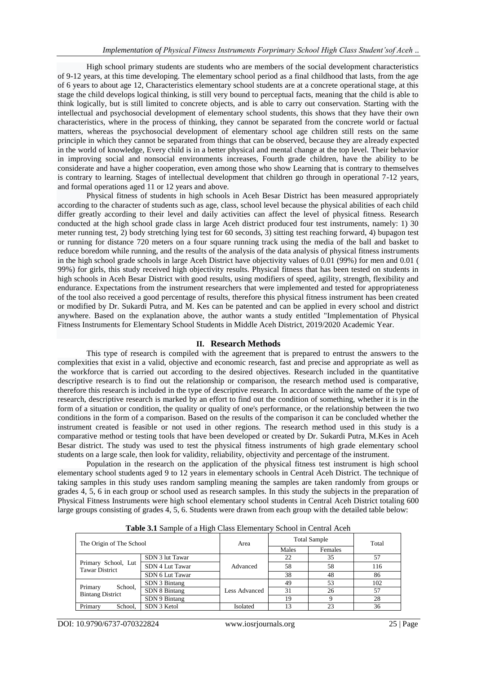High school primary students are students who are members of the social development characteristics of 9-12 years, at this time developing. The elementary school period as a final childhood that lasts, from the age of 6 years to about age 12, Characteristics elementary school students are at a concrete operational stage, at this stage the child develops logical thinking, is still very bound to perceptual facts, meaning that the child is able to think logically, but is still limited to concrete objects, and is able to carry out conservation. Starting with the intellectual and psychosocial development of elementary school students, this shows that they have their own characteristics, where in the process of thinking, they cannot be separated from the concrete world or factual matters, whereas the psychosocial development of elementary school age children still rests on the same principle in which they cannot be separated from things that can be observed, because they are already expected in the world of knowledge, Every child is in a better physical and mental change at the top level. Their behavior in improving social and nonsocial environments increases, Fourth grade children, have the ability to be considerate and have a higher cooperation, even among those who show Learning that is contrary to themselves is contrary to learning. Stages of intellectual development that children go through in operational 7-12 years, and formal operations aged 11 or 12 years and above.

Physical fitness of students in high schools in Aceh Besar District has been measured appropriately according to the character of students such as age, class, school level because the physical abilities of each child differ greatly according to their level and daily activities can affect the level of physical fitness. Research conducted at the high school grade class in large Aceh district produced four test instruments, namely: 1) 30 meter running test, 2) body stretching lying test for 60 seconds, 3) sitting test reaching forward, 4) bupagon test or running for distance 720 meters on a four square running track using the media of the ball and basket to reduce boredom while running, and the results of the analysis of the data analysis of physical fitness instruments in the high school grade schools in large Aceh District have objectivity values of 0.01 (99%) for men and 0.01 ( 99%) for girls, this study received high objectivity results. Physical fitness that has been tested on students in high schools in Aceh Besar District with good results, using modifiers of speed, agility, strength, flexibility and endurance. Expectations from the instrument researchers that were implemented and tested for appropriateness of the tool also received a good percentage of results, therefore this physical fitness instrument has been created or modified by Dr. Sukardi Putra, and M. Kes can be patented and can be applied in every school and district anywhere. Based on the explanation above, the author wants a study entitled "Implementation of Physical Fitness Instruments for Elementary School Students in Middle Aceh District, 2019/2020 Academic Year.

#### **II. Research Methods**

This type of research is compiled with the agreement that is prepared to entrust the answers to the complexities that exist in a valid, objective and economic research, fast and precise and appropriate as well as the workforce that is carried out according to the desired objectives. Research included in the quantitative descriptive research is to find out the relationship or comparison, the research method used is comparative, therefore this research is included in the type of descriptive research. In accordance with the name of the type of research, descriptive research is marked by an effort to find out the condition of something, whether it is in the form of a situation or condition, the quality or quality of one's performance, or the relationship between the two conditions in the form of a comparison. Based on the results of the comparison it can be concluded whether the instrument created is feasible or not used in other regions. The research method used in this study is a comparative method or testing tools that have been developed or created by Dr. Sukardi Putra, M.Kes in Aceh Besar district. The study was used to test the physical fitness instruments of high grade elementary school students on a large scale, then look for validity, reliability, objectivity and percentage of the instrument.

Population in the research on the application of the physical fitness test instrument is high school elementary school students aged 9 to 12 years in elementary schools in Central Aceh District. The technique of taking samples in this study uses random sampling meaning the samples are taken randomly from groups or grades 4, 5, 6 in each group or school used as research samples. In this study the subjects in the preparation of Physical Fitness Instruments were high school elementary school students in Central Aceh District totaling 600 large groups consisting of grades 4, 5, 6. Students were drawn from each group with the detailed table below:

| Tuble off builiple of a flight chose Enchloritan ! | $5001001$ in Solitan 1 Regii |                      |                     |         |       |
|----------------------------------------------------|------------------------------|----------------------|---------------------|---------|-------|
| The Origin of The School                           |                              | Area                 | <b>Total Sample</b> |         | Total |
|                                                    |                              |                      | Males               | Females |       |
| Primary School, Lut<br><b>Tawar District</b>       | SDN 3 lut Tawar              |                      | 22                  | 35      |       |
|                                                    | SDN 4 Lut Tawar              | Advanced             | 58                  | 58      | 116   |
|                                                    | SDN 6 Lut Tawar              |                      | 38                  | 48      | 86    |
| School.<br>Primary<br><b>Bintang District</b>      | SDN 3 Bintang                |                      | 49                  | 53      | 102   |
|                                                    | SDN 8 Bintang                | <b>Less Advanced</b> | 31                  | 26      | 57    |
|                                                    | SDN 9 Bintang                |                      | 19                  |         | 28    |
| Primary<br>School.                                 | SDN 3 Ketol                  | Isolated             | 13                  | 23      | 36    |

**Table 3.1** Sample of a High Class Elementary School in Central Aceh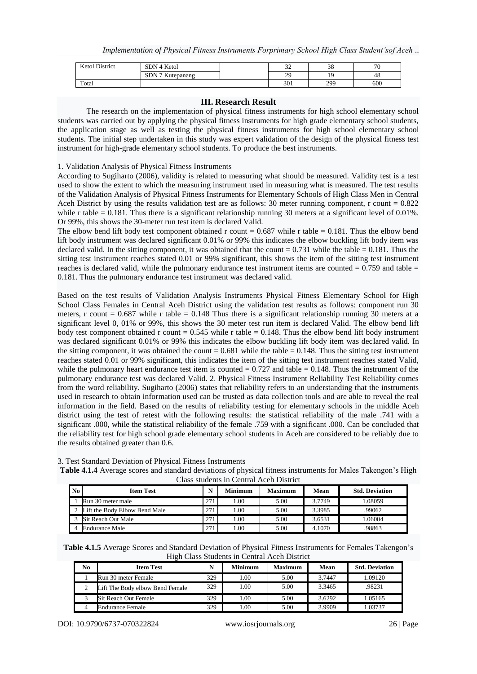| <b>Ketol District</b> | SDN 4 Ketol            | $\sim$<br>ے ب | 38  | 70  |
|-----------------------|------------------------|---------------|-----|-----|
|                       | SDN 7 Ku<br>⊾utepanang | 29            | . O | 48  |
| Total                 |                        | 301           | 299 | 600 |

## **III. Research Result**

The research on the implementation of physical fitness instruments for high school elementary school students was carried out by applying the physical fitness instruments for high grade elementary school students, the application stage as well as testing the physical fitness instruments for high school elementary school students. The initial step undertaken in this study was expert validation of the design of the physical fitness test instrument for high-grade elementary school students. To produce the best instruments.

# 1. Validation Analysis of Physical Fitness Instruments

According to Sugiharto (2006), validity is related to measuring what should be measured. Validity test is a test used to show the extent to which the measuring instrument used in measuring what is measured. The test results of the Validation Analysis of Physical Fitness Instruments for Elementary Schools of High Class Men in Central Aceh District by using the results validation test are as follows: 30 meter running component, r count  $= 0.822$ while r table = 0.181. Thus there is a significant relationship running 30 meters at a significant level of 0.01%. Or 99%, this shows the 30-meter run test item is declared Valid.

The elbow bend lift body test component obtained r count  $= 0.687$  while r table  $= 0.181$ . Thus the elbow bend lift body instrument was declared significant 0.01% or 99% this indicates the elbow buckling lift body item was declared valid. In the sitting component, it was obtained that the count  $= 0.731$  while the table  $= 0.181$ . Thus the sitting test instrument reaches stated 0.01 or 99% significant, this shows the item of the sitting test instrument reaches is declared valid, while the pulmonary endurance test instrument items are counted  $= 0.759$  and table  $=$ 0.181. Thus the pulmonary endurance test instrument was declared valid.

Based on the test results of Validation Analysis Instruments Physical Fitness Elementary School for High School Class Females in Central Aceh District using the validation test results as follows: component run 30 meters, r count  $= 0.687$  while r table  $= 0.148$  Thus there is a significant relationship running 30 meters at a significant level 0, 01% or 99%, this shows the 30 meter test run item is declared Valid. The elbow bend lift body test component obtained r count =  $0.545$  while r table =  $0.148$ . Thus the elbow bend lift body instrument was declared significant 0.01% or 99% this indicates the elbow buckling lift body item was declared valid. In the sitting component, it was obtained the count  $= 0.681$  while the table  $= 0.148$ . Thus the sitting test instrument reaches stated 0.01 or 99% significant, this indicates the item of the sitting test instrument reaches stated Valid, while the pulmonary heart endurance test item is counted  $= 0.727$  and table  $= 0.148$ . Thus the instrument of the pulmonary endurance test was declared Valid. 2. Physical Fitness Instrument Reliability Test Reliability comes from the word reliability. Sugiharto (2006) states that reliability refers to an understanding that the instruments used in research to obtain information used can be trusted as data collection tools and are able to reveal the real information in the field. Based on the results of reliability testing for elementary schools in the middle Aceh district using the test of retest with the following results: the statistical reliability of the male .741 with a significant .000, while the statistical reliability of the female .759 with a significant .000. Can be concluded that the reliability test for high school grade elementary school students in Aceh are considered to be reliably due to the results obtained greater than 0.6.

|          | Class students in Central Aceh District |     |                |                |        |                       |  |  |
|----------|-----------------------------------------|-----|----------------|----------------|--------|-----------------------|--|--|
| $\bf No$ | <b>Item Test</b>                        |     | <b>Minimum</b> | <b>Maximum</b> | Mean   | <b>Std. Deviation</b> |  |  |
|          | Run 30 meter male                       | 271 | .00.           | 5.00           | 3.7749 | 1.08059               |  |  |
|          | 2 Lift the Body Elbow Bend Male         | 271 | .00.           | 5.00           | 3.3985 | .99062                |  |  |
|          | Sit Reach Out Male                      | 271 | .00.           | 5.00           | 3.6531 | 1.06004               |  |  |
|          | Endurance Male                          | 271 | .00.           | 5.00           | 4.1070 | .98863                |  |  |

3. Test Standard Deviation of Physical Fitness Instruments **Table 4.1.4** Average scores and standard deviations of physical fitness instruments for Males Takengon's High

**Table 4.1.5** Average Scores and Standard Deviation of Physical Fitness Instruments for Females Takengon's High Class Students in Central Aceh District

| No | <b>Item Test</b>                |     | <b>Minimum</b> | <b>Maximum</b> | Mean   | <b>Std. Deviation</b> |
|----|---------------------------------|-----|----------------|----------------|--------|-----------------------|
|    | Run 30 meter Female             | 329 | 1.00           | 5.00           | 3.7447 | 1.09120               |
|    | Lift The Body elbow Bend Female | 329 | 1.00           | 5.00           | 3.3465 | .98231                |
|    | Sit Reach Out Female            | 329 | 1.00           | 5.00           | 3.6292 | 1.05165               |
|    | <b>Endurance Female</b>         | 329 | 00.1           | 5.00           | 3.9909 | .03737                |

DOI: 10.9790/6737-070322824 www.iosrjournals.org 26 | Page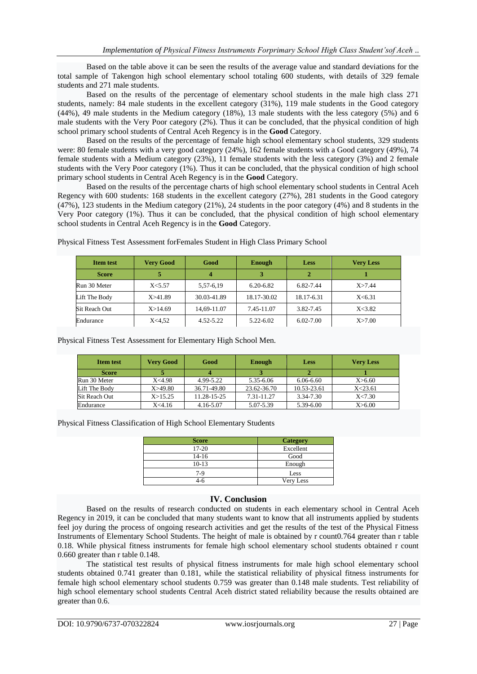Based on the table above it can be seen the results of the average value and standard deviations for the total sample of Takengon high school elementary school totaling 600 students, with details of 329 female students and 271 male students.

Based on the results of the percentage of elementary school students in the male high class 271 students, namely: 84 male students in the excellent category (31%), 119 male students in the Good category (44%), 49 male students in the Medium category (18%), 13 male students with the less category (5%) and 6 male students with the Very Poor category (2%). Thus it can be concluded, that the physical condition of high school primary school students of Central Aceh Regency is in the **Good** Category.

Based on the results of the percentage of female high school elementary school students, 329 students were: 80 female students with a very good category (24%), 162 female students with a Good category (49%), 74 female students with a Medium category (23%), 11 female students with the less category (3%) and 2 female students with the Very Poor category (1%). Thus it can be concluded, that the physical condition of high school primary school students in Central Aceh Regency is in the **Good** Category.

Based on the results of the percentage charts of high school elementary school students in Central Aceh Regency with 600 students: 168 students in the excellent category (27%), 281 students in the Good category (47%), 123 students in the Medium category (21%), 24 students in the poor category (4%) and 8 students in the Very Poor category (1%). Thus it can be concluded, that the physical condition of high school elementary school students in Central Aceh Regency is in the **Good** Category.

| <b>Item test</b>     | <b>Very Good</b> | Good          | <b>Enough</b> | <b>Less</b>   | <b>Very Less</b> |
|----------------------|------------------|---------------|---------------|---------------|------------------|
| <b>Score</b>         |                  |               |               |               |                  |
| Run 30 Meter         | X<5.57           | 5.57-6.19     | 6.20-6.82     | 6.82-7.44     | X > 7.44         |
| Lift The Body        | X > 41.89        | 30.03-41.89   | 18.17-30.02   | 18.17-6.31    | X < 6.31         |
| <b>Sit Reach Out</b> | X > 14.69        | 14.69-11.07   | 7.45-11.07    | 3.82-7.45     | X < 3.82         |
| Endurance            | X<4.52           | $4.52 - 5.22$ | 5.22-6.02     | $6.02 - 7.00$ | X > 7.00         |

Physical Fitness Test Assessment forFemales Student in High Class Primary School

Physical Fitness Test Assessment for Elementary High School Men.

| <b>Item test</b> | <b>Very Good</b> | Good        | Enough      | <b>Less</b>   | <b>Very Less</b> |
|------------------|------------------|-------------|-------------|---------------|------------------|
| <b>Score</b>     |                  |             |             |               |                  |
| Run 30 Meter     | X<4.98           | 4.99-5.22   | 5.35-6.06   | $6.06 - 6.60$ | X > 6.60         |
| Lift The Body    | X > 49.80        | 36.71-49.80 | 23.62-36.70 | 10.53-23.61   | X < 23.61        |
| Sit Reach Out    | X > 15.25        | 11.28-15-25 | 7.31-11.27  | 3.34-7.30     | X < 7.30         |
| Endurance        | X<4.16           | 4.16-5.07   | 5.07-5.39   | 5.39-6.00     | X > 6.00         |

Physical Fitness Classification of High School Elementary Students

| <b>Score</b> | <b>Category</b> |
|--------------|-----------------|
| $17 - 20$    | Excellent       |
| 14-16        | Good            |
| $10-13$      | Enough          |
| $7-9$        | Less            |
| 4-6          | Very Less       |

# **IV. Conclusion**

Based on the results of research conducted on students in each elementary school in Central Aceh Regency in 2019, it can be concluded that many students want to know that all instruments applied by students feel joy during the process of ongoing research activities and get the results of the test of the Physical Fitness Instruments of Elementary School Students. The height of male is obtained by r count0.764 greater than r table 0.18. While physical fitness instruments for female high school elementary school students obtained r count 0.660 greater than r table 0.148.

The statistical test results of physical fitness instruments for male high school elementary school students obtained 0.741 greater than 0.181, while the statistical reliability of physical fitness instruments for female high school elementary school students 0.759 was greater than 0.148 male students. Test reliability of high school elementary school students Central Aceh district stated reliability because the results obtained are greater than 0.6.